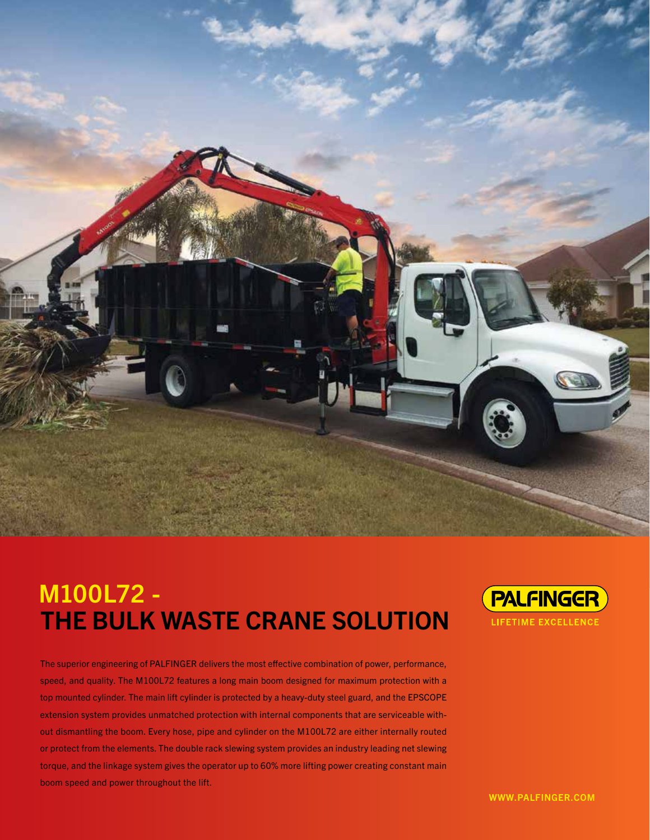

# M100L72 - THE BULK WASTE CRANE SOLUTION

The superior engineering of PALFINGER delivers the most effective combination of power, performance, speed, and quality. The M100L72 features a long main boom designed for maximum protection with a top mounted cylinder. The main lift cylinder is protected by a heavy-duty steel guard, and the EPSCOPE extension system provides unmatched protection with internal components that are serviceable without dismantling the boom. Every hose, pipe and cylinder on the M100L72 are either internally routed or protect from the elements. The double rack slewing system provides an industry leading net slewing torque, and the linkage system gives the operator up to 60% more lifting power creating constant main boom speed and power throughout the lift.